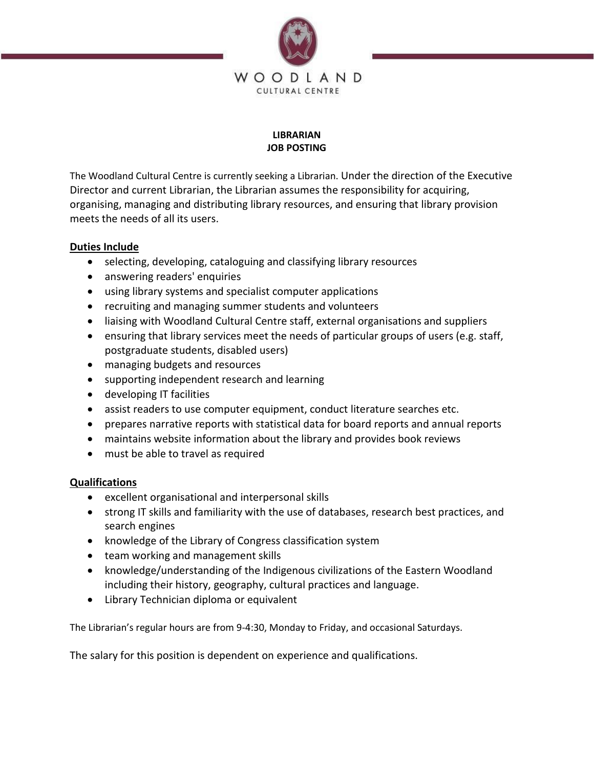

## **LIBRARIAN JOB POSTING**

The Woodland Cultural Centre is currently seeking a Librarian. Under the direction of the Executive Director and current Librarian, the Librarian assumes the responsibility for acquiring, organising, managing and distributing library resources, and ensuring that library provision meets the needs of all its users.

## **Duties Include**

- selecting, developing, cataloguing and classifying library resources
- answering readers' enquiries
- using library systems and specialist computer applications
- recruiting and managing summer students and volunteers
- liaising with Woodland Cultural Centre staff, external organisations and suppliers
- ensuring that library services meet the needs of particular groups of users (e.g. staff, postgraduate students, disabled users)
- managing budgets and resources
- supporting independent research and learning
- developing IT facilities
- assist readers to use computer equipment, conduct literature searches etc.
- prepares narrative reports with statistical data for board reports and annual reports
- maintains website information about the library and provides book reviews
- must be able to travel as required

## **Qualifications**

- excellent organisational and interpersonal skills
- strong IT skills and familiarity with the use of databases, research best practices, and search engines
- knowledge of the Library of Congress classification system
- team working and management skills
- knowledge/understanding of the Indigenous civilizations of the Eastern Woodland including their history, geography, cultural practices and language.
- Library Technician diploma or equivalent

The Librarian's regular hours are from 9-4:30, Monday to Friday, and occasional Saturdays.

The salary for this position is dependent on experience and qualifications.